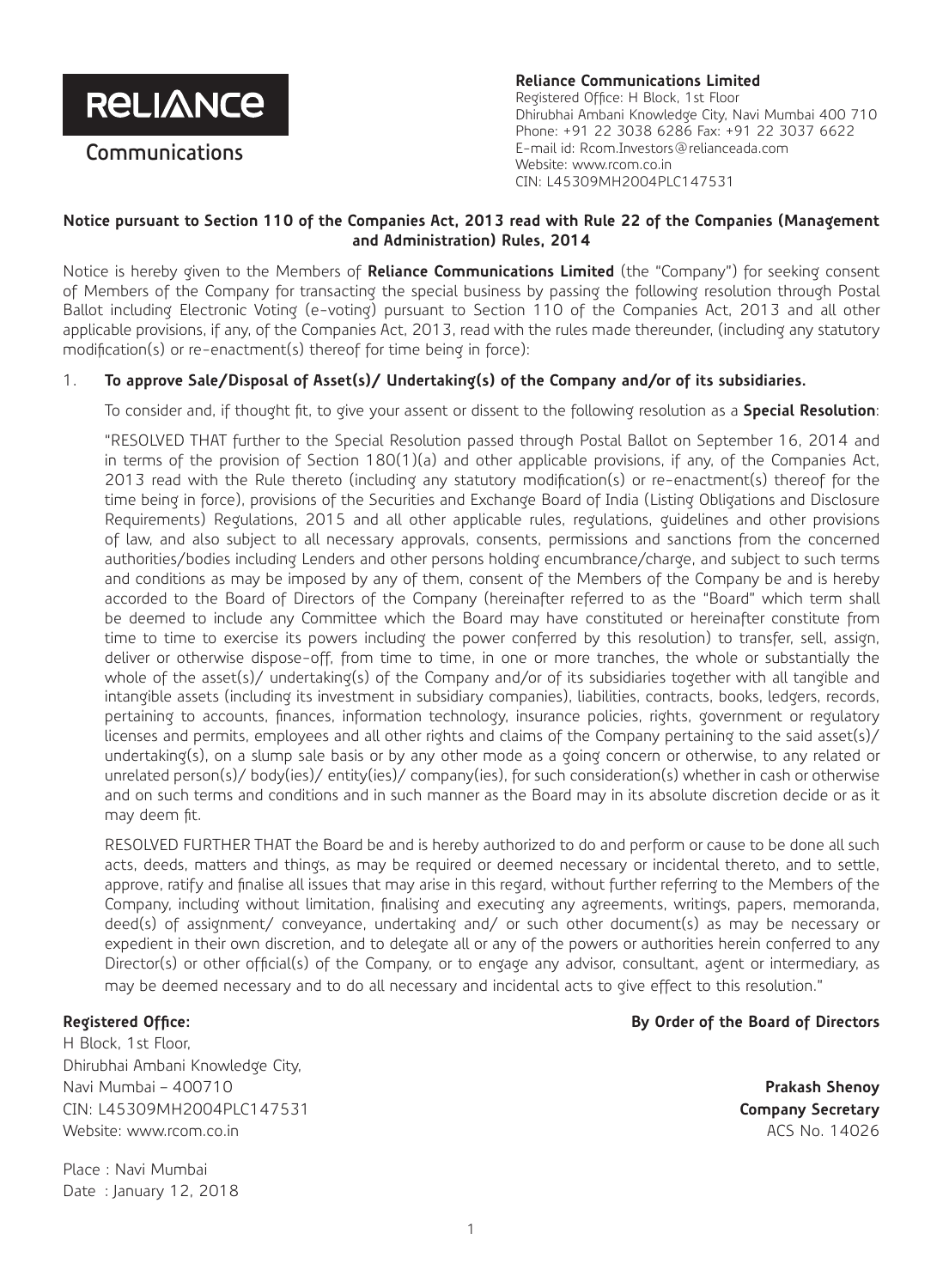**RELIANCE** 

**Communications**

**Reliance Communications Limited** Registered Office: H Block, 1st Floor Dhirubhai Ambani Knowledge City, Navi Mumbai 400 710 Phone: +91 22 3038 6286 Fax: +91 22 3037 6622 E-mail id: Rcom.Investors@relianceada.com Website: www.rcom.co.in CIN: L45309MH2004PLC147531

### **Notice pursuant to Section 110 of the Companies Act, 2013 read with Rule 22 of the Companies (Management and Administration) Rules, 2014**

Notice is hereby given to the Members of **Reliance Communications Limited** (the "Company") for seeking consent of Members of the Company for transacting the special business by passing the following resolution through Postal Ballot including Electronic Voting (e-voting) pursuant to Section 110 of the Companies Act, 2013 and all other applicable provisions, if any, of the Companies Act, 2013, read with the rules made thereunder, (including any statutory modification(s) or re-enactment(s) thereof for time being in force):

### 1. **To approve Sale/Disposal of Asset(s)/ Undertaking(s) of the Company and/or of its subsidiaries.**

To consider and, if thought fit, to give your assent or dissent to the following resolution as a **Special Resolution**:

"RESOLVED THAT further to the Special Resolution passed through Postal Ballot on September 16, 2014 and in terms of the provision of Section 180(1)(a) and other applicable provisions, if any, of the Companies Act, 2013 read with the Rule thereto (including any statutory modification(s) or re-enactment(s) thereof for the time being in force), provisions of the Securities and Exchange Board of India (Listing Obligations and Disclosure Requirements) Regulations, 2015 and all other applicable rules, regulations, guidelines and other provisions of law, and also subject to all necessary approvals, consents, permissions and sanctions from the concerned authorities/bodies including Lenders and other persons holding encumbrance/charge, and subject to such terms and conditions as may be imposed by any of them, consent of the Members of the Company be and is hereby accorded to the Board of Directors of the Company (hereinafter referred to as the "Board" which term shall be deemed to include any Committee which the Board may have constituted or hereinafter constitute from time to time to exercise its powers including the power conferred by this resolution) to transfer, sell, assign, deliver or otherwise dispose-off, from time to time, in one or more tranches, the whole or substantially the whole of the asset(s)/ undertaking(s) of the Company and/or of its subsidiaries together with all tangible and intangible assets (including its investment in subsidiary companies), liabilities, contracts, books, ledgers, records, pertaining to accounts, finances, information technology, insurance policies, rights, government or regulatory licenses and permits, employees and all other rights and claims of the Company pertaining to the said asset(s)/ undertaking(s), on a slump sale basis or by any other mode as a going concern or otherwise, to any related or unrelated person(s)/ body(ies)/ entity(ies)/ company(ies), for such consideration(s) whether in cash or otherwise and on such terms and conditions and in such manner as the Board may in its absolute discretion decide or as it may deem fit.

RESOLVED FURTHER THAT the Board be and is hereby authorized to do and perform or cause to be done all such acts, deeds, matters and things, as may be required or deemed necessary or incidental thereto, and to settle, approve, ratify and finalise all issues that may arise in this regard, without further referring to the Members of the Company, including without limitation, finalising and executing any agreements, writings, papers, memoranda, deed(s) of assignment/ conveyance, undertaking and/ or such other document(s) as may be necessary or expedient in their own discretion, and to delegate all or any of the powers or authorities herein conferred to any Director(s) or other official(s) of the Company, or to engage any advisor, consultant, agent or intermediary, as may be deemed necessary and to do all necessary and incidental acts to give effect to this resolution."

#### **Registered Office:**

H Block, 1st Floor, Dhirubhai Ambani Knowledge City, Navi Mumbai – 400710 CIN: L45309MH2004PLC147531 Website: www.rcom.co.in

Place : Navi Mumbai Date : January 12, 2018

#### **By Order of the Board of Directors**

**Prakash Shenoy Company Secretary** ACS No. 14026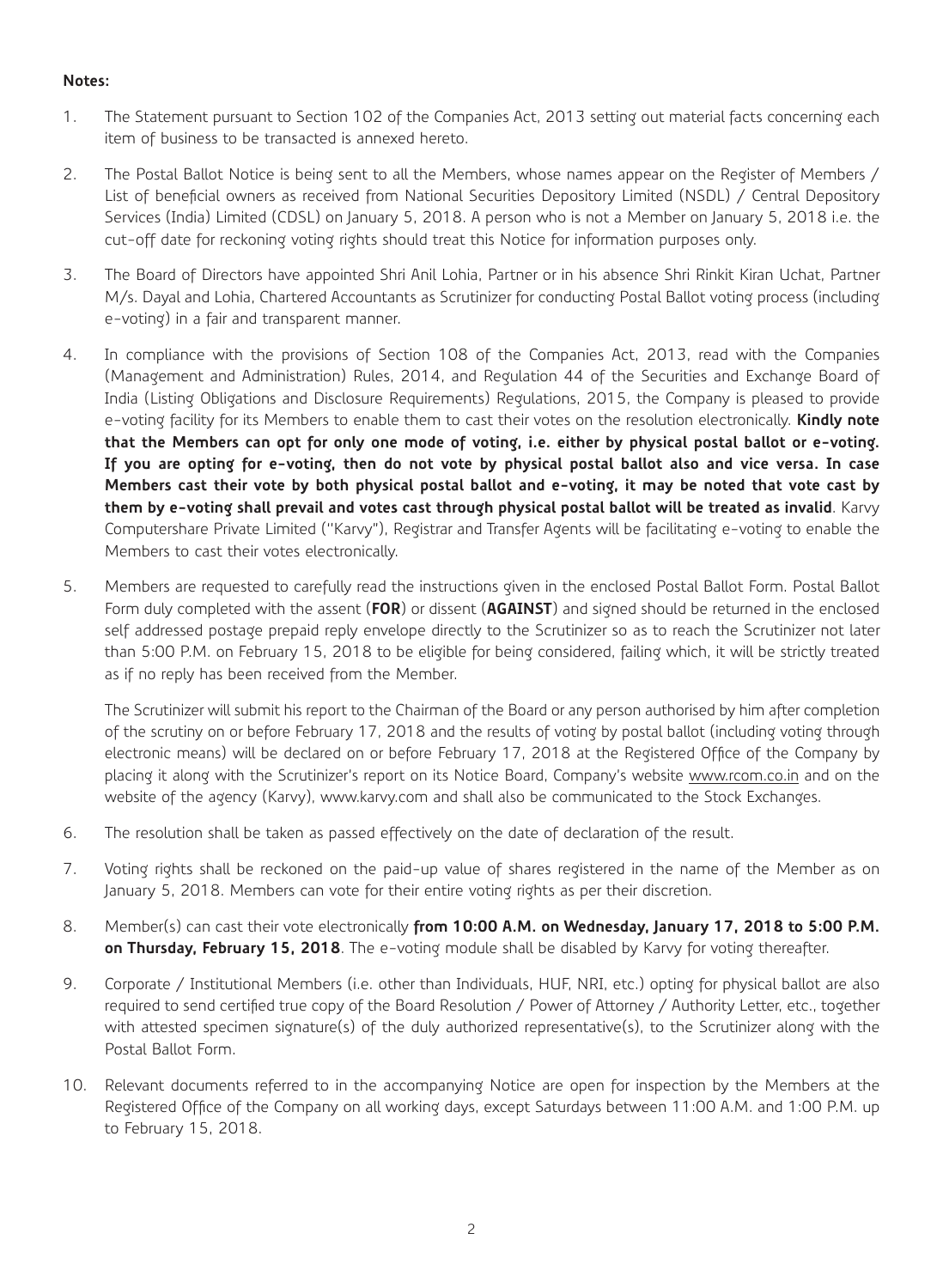## **Notes:**

- 1. The Statement pursuant to Section 102 of the Companies Act, 2013 setting out material facts concerning each item of business to be transacted is annexed hereto.
- 2. The Postal Ballot Notice is being sent to all the Members, whose names appear on the Register of Members / List of beneficial owners as received from National Securities Depository Limited (NSDL) / Central Depository Services (India) Limited (CDSL) on January 5, 2018. A person who is not a Member on January 5, 2018 i.e. the cut-off date for reckoning voting rights should treat this Notice for information purposes only.
- 3. The Board of Directors have appointed Shri Anil Lohia, Partner or in his absence Shri Rinkit Kiran Uchat, Partner M/s. Dayal and Lohia, Chartered Accountants as Scrutinizer for conducting Postal Ballot voting process (including e-voting) in a fair and transparent manner.
- 4. In compliance with the provisions of Section 108 of the Companies Act, 2013, read with the Companies (Management and Administration) Rules, 2014, and Regulation 44 of the Securities and Exchange Board of India (Listing Obligations and Disclosure Requirements) Regulations, 2015, the Company is pleased to provide e-voting facility for its Members to enable them to cast their votes on the resolution electronically. **Kindly note that the Members can opt for only one mode of voting, i.e. either by physical postal ballot or e-voting. If you are opting for e-voting, then do not vote by physical postal ballot also and vice versa. In case Members cast their vote by both physical postal ballot and e-voting, it may be noted that vote cast by them by e-voting shall prevail and votes cast through physical postal ballot will be treated as invalid**. Karvy Computershare Private Limited (''Karvy"), Registrar and Transfer Agents will be facilitating e-voting to enable the Members to cast their votes electronically.
- 5. Members are requested to carefully read the instructions given in the enclosed Postal Ballot Form. Postal Ballot Form duly completed with the assent (**FOR**) or dissent (**AGAINST**) and signed should be returned in the enclosed self addressed postage prepaid reply envelope directly to the Scrutinizer so as to reach the Scrutinizer not later than 5:00 P.M. on February 15, 2018 to be eligible for being considered, failing which, it will be strictly treated as if no reply has been received from the Member.

The Scrutinizer will submit his report to the Chairman of the Board or any person authorised by him after completion of the scrutiny on or before February 17, 2018 and the results of voting by postal ballot (including voting through electronic means) will be declared on or before February 17, 2018 at the Registered Office of the Company by placing it along with the Scrutinizer's report on its Notice Board, Company's website www.rcom.co.in and on the website of the agency (Karvy), www.karvy.com and shall also be communicated to the Stock Exchanges.

- 6. The resolution shall be taken as passed effectively on the date of declaration of the result.
- 7. Voting rights shall be reckoned on the paid-up value of shares registered in the name of the Member as on January 5, 2018. Members can vote for their entire voting rights as per their discretion.
- 8. Member(s) can cast their vote electronically **from 10:00 A.M. on Wednesday, January 17, 2018 to 5:00 P.M. on Thursday, February 15, 2018**. The e-voting module shall be disabled by Karvy for voting thereafter.
- 9. Corporate / Institutional Members (i.e. other than Individuals, HUF, NRI, etc.) opting for physical ballot are also required to send certified true copy of the Board Resolution / Power of Attorney / Authority Letter, etc., together with attested specimen signature(s) of the duly authorized representative(s), to the Scrutinizer along with the Postal Ballot Form.
- 10. Relevant documents referred to in the accompanying Notice are open for inspection by the Members at the Registered Office of the Company on all working days, except Saturdays between 11:00 A.M. and 1:00 P.M. up to February 15, 2018.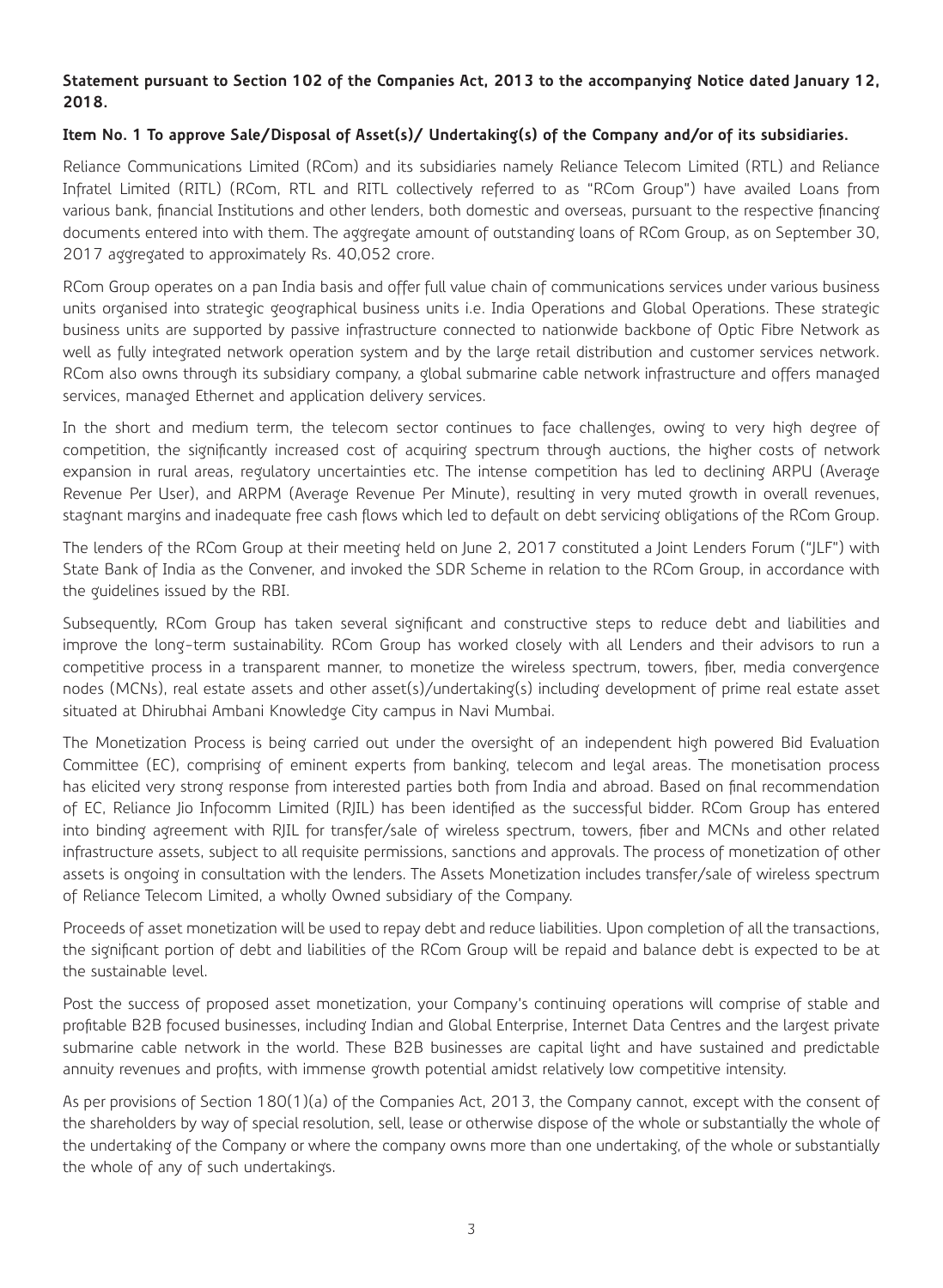# **Statement pursuant to Section 102 of the Companies Act, 2013 to the accompanying Notice dated January 12, 2018.**

# **Item No. 1 To approve Sale/Disposal of Asset(s)/ Undertaking(s) of the Company and/or of its subsidiaries.**

Reliance Communications Limited (RCom) and its subsidiaries namely Reliance Telecom Limited (RTL) and Reliance Infratel Limited (RITL) (RCom, RTL and RITL collectively referred to as "RCom Group") have availed Loans from various bank, financial Institutions and other lenders, both domestic and overseas, pursuant to the respective financing documents entered into with them. The aggregate amount of outstanding loans of RCom Group, as on September 30, 2017 aggregated to approximately Rs. 40,052 crore.

RCom Group operates on a pan India basis and offer full value chain of communications services under various business units organised into strategic geographical business units i.e. India Operations and Global Operations. These strategic business units are supported by passive infrastructure connected to nationwide backbone of Optic Fibre Network as well as fully integrated network operation system and by the large retail distribution and customer services network. RCom also owns through its subsidiary company, a global submarine cable network infrastructure and offers managed services, managed Ethernet and application delivery services.

In the short and medium term, the telecom sector continues to face challenges, owing to very high degree of competition, the significantly increased cost of acquiring spectrum through auctions, the higher costs of network expansion in rural areas, regulatory uncertainties etc. The intense competition has led to declining ARPU (Average Revenue Per User), and ARPM (Average Revenue Per Minute), resulting in very muted growth in overall revenues, stagnant margins and inadequate free cash flows which led to default on debt servicing obligations of the RCom Group.

The lenders of the RCom Group at their meeting held on June 2, 2017 constituted a Joint Lenders Forum ("JLF") with State Bank of India as the Convener, and invoked the SDR Scheme in relation to the RCom Group, in accordance with the guidelines issued by the RBI.

Subsequently, RCom Group has taken several significant and constructive steps to reduce debt and liabilities and improve the long-term sustainability. RCom Group has worked closely with all Lenders and their advisors to run a competitive process in a transparent manner, to monetize the wireless spectrum, towers, fiber, media convergence nodes (MCNs), real estate assets and other asset(s)/undertaking(s) including development of prime real estate asset situated at Dhirubhai Ambani Knowledge City campus in Navi Mumbai.

The Monetization Process is being carried out under the oversight of an independent high powered Bid Evaluation Committee (EC), comprising of eminent experts from banking, telecom and legal areas. The monetisation process has elicited very strong response from interested parties both from India and abroad. Based on final recommendation of EC, Reliance Jio Infocomm Limited (RJIL) has been identified as the successful bidder. RCom Group has entered into binding agreement with RJIL for transfer/sale of wireless spectrum, towers, fiber and MCNs and other related infrastructure assets, subject to all requisite permissions, sanctions and approvals. The process of monetization of other assets is ongoing in consultation with the lenders. The Assets Monetization includes transfer/sale of wireless spectrum of Reliance Telecom Limited, a wholly Owned subsidiary of the Company.

Proceeds of asset monetization will be used to repay debt and reduce liabilities. Upon completion of all the transactions, the significant portion of debt and liabilities of the RCom Group will be repaid and balance debt is expected to be at the sustainable level.

Post the success of proposed asset monetization, your Company's continuing operations will comprise of stable and profitable B2B focused businesses, including Indian and Global Enterprise, Internet Data Centres and the largest private submarine cable network in the world. These B2B businesses are capital light and have sustained and predictable annuity revenues and profits, with immense growth potential amidst relatively low competitive intensity.

As per provisions of Section 180(1)(a) of the Companies Act, 2013, the Company cannot, except with the consent of the shareholders by way of special resolution, sell, lease or otherwise dispose of the whole or substantially the whole of the undertaking of the Company or where the company owns more than one undertaking, of the whole or substantially the whole of any of such undertakings.